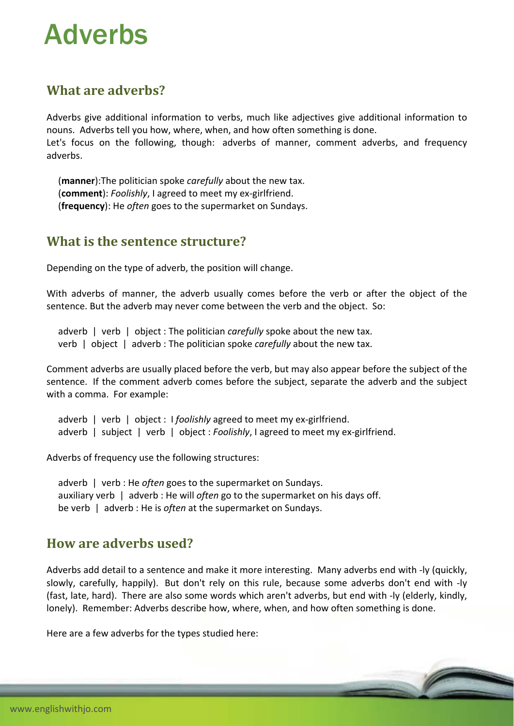# Adverbs

## **What are adverbs?**

Adverbs give additional information to verbs, much like adjectives give additional information to nouns. Adverbs tell you how, where, when, and how often something is done.

Let's focus on the following, though: adverbs of manner, comment adverbs, and frequency adverbs.

 (**manner**):The politician spoke *carefully* about the new tax. (**comment**): *Foolishly*, I agreed to meet my ex‐girlfriend. (**frequency**): He *often* goes to the supermarket on Sundays.

#### **What is the sentence structure?**

Depending on the type of adverb, the position will change.

With adverbs of manner, the adverb usually comes before the verb or after the object of the sentence. But the adverb may never come between the verb and the object. So:

adverb | verb | object : The politician *carefully* spoke about the new tax. verb | object | adverb : The politician spoke *carefully* about the new tax.

Comment adverbs are usually placed before the verb, but may also appear before the subject of the sentence. If the comment adverb comes before the subject, separate the adverb and the subject with a comma. For example:

adverb | verb | object : I *foolishly* agreed to meet my ex-girlfriend. adverb | subject | verb | object : *Foolishly*, I agreed to meet my ex-girlfriend.

Adverbs of frequency use the following structures:

 adverb | verb : He *often* goes to the supermarket on Sundays. auxiliary verb | adverb : He will *often* go to the supermarket on his days off. be verb | adverb : He is *often* at the supermarket on Sundays.

### **How are adverbs used?**

Adverbs add detail to a sentence and make it more interesting. Many adverbs end with ‐ly (quickly, slowly, carefully, happily). But don't rely on this rule, because some adverbs don't end with ‐ly (fast, late, hard). There are also some words which aren't adverbs, but end with ‐ly (elderly, kindly, lonely). Remember: Adverbs describe how, where, when, and how often something is done.

Here are a few adverbs for the types studied here: